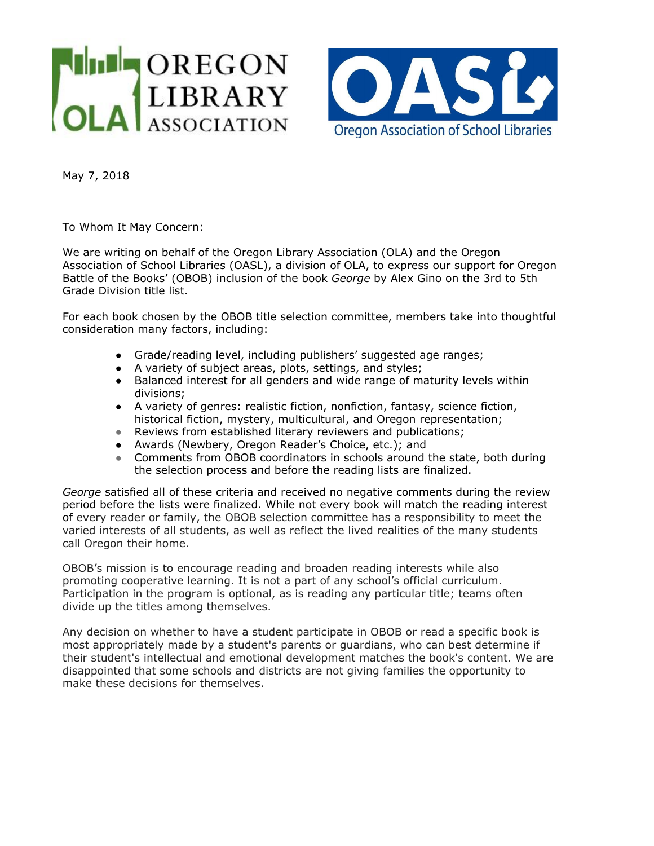



May 7, 2018

To Whom It May Concern:

We are writing on behalf of the Oregon Library Association (OLA) and the Oregon Association of School Libraries (OASL), a division of OLA, to express our support for Oregon Battle of the Books' (OBOB) inclusion of the book *George* by Alex Gino on the 3rd to 5th Grade Division title list.

For each book chosen by the OBOB title selection committee, members take into thoughtful consideration many factors, including:

- Grade/reading level, including publishers' suggested age ranges;
- A variety of subject areas, plots, settings, and styles;
- Balanced interest for all genders and wide range of maturity levels within divisions;
- A variety of genres: realistic fiction, nonfiction, fantasy, science fiction, historical fiction, mystery, multicultural, and Oregon representation;
- Reviews from established literary reviewers and publications;
- Awards (Newbery, Oregon Reader's Choice, etc.); and
- Comments from OBOB coordinators in schools around the state, both during the selection process and before the reading lists are finalized.

*George* satisfied all of these criteria and received no negative comments during the review period before the lists were finalized. While not every book will match the reading interest of every reader or family, the OBOB selection committee has a responsibility to meet the varied interests of all students, as well as reflect the lived realities of the many students call Oregon their home.

OBOB's mission is to encourage reading and broaden reading interests while also promoting cooperative learning. It is not a part of any school's official curriculum. Participation in the program is optional, as is reading any particular title; teams often divide up the titles among themselves.

Any decision on whether to have a student participate in OBOB or read a specific book is most appropriately made by a student's parents or guardians, who can best determine if their student's intellectual and emotional development matches the book's content. We are disappointed that some schools and districts are not giving families the opportunity to make these decisions for themselves.